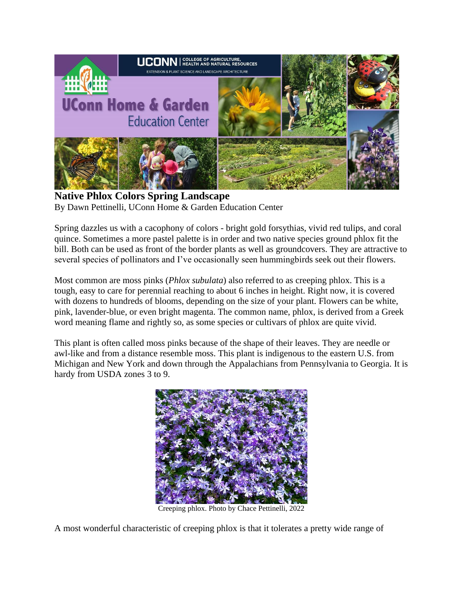

**Native Phlox Colors Spring Landscape** By Dawn Pettinelli, UConn Home & Garden Education Center

Spring dazzles us with a cacophony of colors - bright gold forsythias, vivid red tulips, and coral quince. Sometimes a more pastel palette is in order and two native species ground phlox fit the bill. Both can be used as front of the border plants as well as groundcovers. They are attractive to several species of pollinators and I've occasionally seen hummingbirds seek out their flowers.

Most common are moss pinks (*Phlox subulata*) also referred to as creeping phlox. This is a tough, easy to care for perennial reaching to about 6 inches in height. Right now, it is covered with dozens to hundreds of blooms, depending on the size of your plant. Flowers can be white, pink, lavender-blue, or even bright magenta. The common name, phlox, is derived from a Greek word meaning flame and rightly so, as some species or cultivars of phlox are quite vivid.

This plant is often called moss pinks because of the shape of their leaves. They are needle or awl-like and from a distance resemble moss. This plant is indigenous to the eastern U.S. from Michigan and New York and down through the Appalachians from Pennsylvania to Georgia. It is hardy from USDA zones 3 to 9.



Creeping phlox. Photo by Chace Pettinelli, 2022

A most wonderful characteristic of creeping phlox is that it tolerates a pretty wide range of